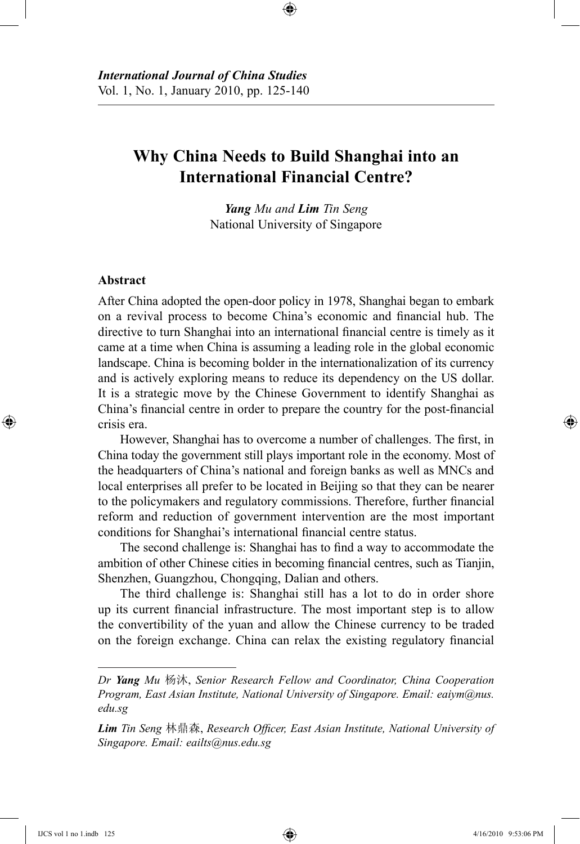# **Why China Needs to Build Shanghai into an International Financial Centre?**

⊕

*Yang Mu and Lim Tin Seng* National University of Singapore

# **Abstract**

⊕

After China adopted the open-door policy in 1978, Shanghai began to embark on a revival process to become China's economic and financial hub. The directive to turn Shanghai into an international financial centre is timely as it came at a time when China is assuming a leading role in the global economic landscape. China is becoming bolder in the internationalization of its currency and is actively exploring means to reduce its dependency on the US dollar. It is a strategic move by the Chinese Government to identify Shanghai as China's financial centre in order to prepare the country for the post-financial crisis era.

However, Shanghai has to overcome a number of challenges. The first, in China today the government still plays important role in the economy. Most of the headquarters of China's national and foreign banks as well as MNCs and local enterprises all prefer to be located in Beijing so that they can be nearer to the policymakers and regulatory commissions. Therefore, further financial reform and reduction of government intervention are the most important conditions for Shanghai's international financial centre status.

The second challenge is: Shanghai has to find a way to accommodate the ambition of other Chinese cities in becoming financial centres, such as Tianjin, Shenzhen, Guangzhou, Chongqing, Dalian and others.

The third challenge is: Shanghai still has a lot to do in order shore up its current financial infrastructure. The most important step is to allow the convertibility of the yuan and allow the Chinese currency to be traded on the foreign exchange. China can relax the existing regulatory financial

*Dr Yang Mu* 杨沐, *Senior Research Fellow and Coordinator, China Cooperation Program, East Asian Institute, National University of Singapore. Email: eaiym@nus. edu.sg*

*Lim Tin Seng* 林鼎森, *Research Officer, East Asian Institute, National University of Singapore. Email: eailts@nus.edu.sg*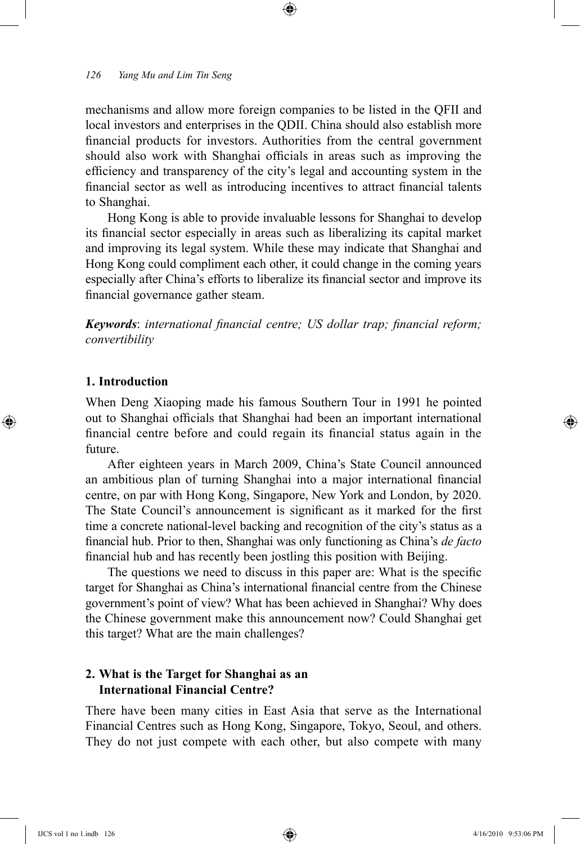mechanisms and allow more foreign companies to be listed in the QFII and local investors and enterprises in the QDII. China should also establish more financial products for investors. Authorities from the central government should also work with Shanghai officials in areas such as improving the efficiency and transparency of the city's legal and accounting system in the financial sector as well as introducing incentives to attract financial talents to Shanghai.

⊕

Hong Kong is able to provide invaluable lessons for Shanghai to develop its financial sector especially in areas such as liberalizing its capital market and improving its legal system. While these may indicate that Shanghai and Hong Kong could compliment each other, it could change in the coming years especially after China's efforts to liberalize its financial sector and improve its financial governance gather steam.

*Keywords*: *international financial centre; US dollar trap; financial reform; convertibility*

#### **1. Introduction**

⊕

When Deng Xiaoping made his famous Southern Tour in 1991 he pointed out to Shanghai officials that Shanghai had been an important international financial centre before and could regain its financial status again in the future.

After eighteen years in March 2009, China's State Council announced an ambitious plan of turning Shanghai into a major international financial centre, on par with Hong Kong, Singapore, New York and London, by 2020. The State Council's announcement is significant as it marked for the first time a concrete national-level backing and recognition of the city's status as a financial hub. Prior to then, Shanghai was only functioning as China's *de facto* financial hub and has recently been jostling this position with Beijing.

The questions we need to discuss in this paper are: What is the specific target for Shanghai as China's international financial centre from the Chinese government's point of view? What has been achieved in Shanghai? Why does the Chinese government make this announcement now? Could Shanghai get this target? What are the main challenges?

## **2. What is the Target for Shanghai as an International Financial Centre?**

There have been many cities in East Asia that serve as the International Financial Centres such as Hong Kong, Singapore, Tokyo, Seoul, and others. They do not just compete with each other, but also compete with many ↔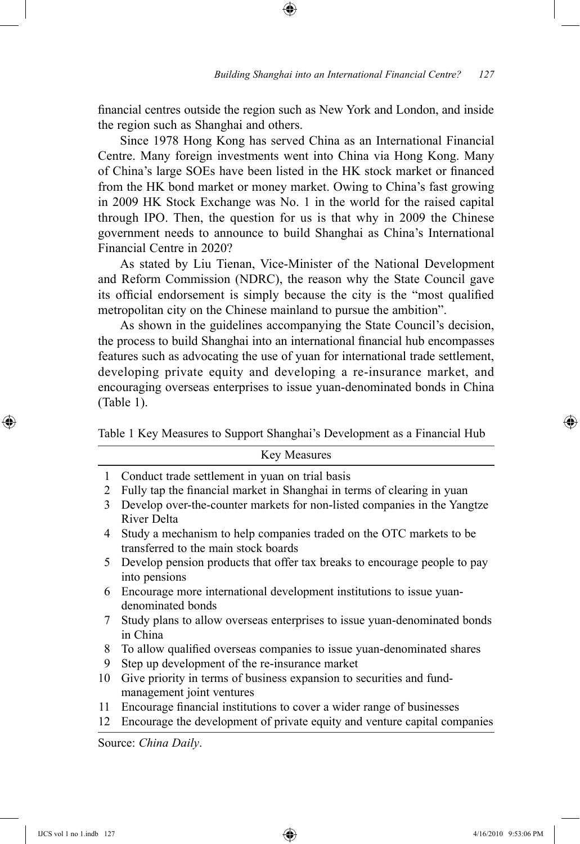financial centres outside the region such as New York and London, and inside the region such as Shanghai and others.

⊕

Since 1978 Hong Kong has served China as an International Financial Centre. Many foreign investments went into China via Hong Kong. Many of China's large SOEs have been listed in the HK stock market or financed from the HK bond market or money market. Owing to China's fast growing in 2009 HK Stock Exchange was No. 1 in the world for the raised capital through IPO. Then, the question for us is that why in 2009 the Chinese government needs to announce to build Shanghai as China's International Financial Centre in 2020?

As stated by Liu Tienan, Vice-Minister of the National Development and Reform Commission (NDRC), the reason why the State Council gave its official endorsement is simply because the city is the "most qualified metropolitan city on the Chinese mainland to pursue the ambition".

As shown in the guidelines accompanying the State Council's decision, the process to build Shanghai into an international financial hub encompasses features such as advocating the use of yuan for international trade settlement, developing private equity and developing a re-insurance market, and encouraging overseas enterprises to issue yuan-denominated bonds in China (Table 1).

Table 1 Key Measures to Support Shanghai's Development as a Financial Hub

|              | <b>Key Measures</b>                                                       |  |  |  |  |
|--------------|---------------------------------------------------------------------------|--|--|--|--|
| $\mathbf{1}$ | Conduct trade settlement in yuan on trial basis                           |  |  |  |  |
| 2            | Fully tap the financial market in Shanghai in terms of clearing in yuan   |  |  |  |  |
| 3            | Develop over-the-counter markets for non-listed companies in the Yangtze  |  |  |  |  |
|              | River Delta                                                               |  |  |  |  |
| 4            | Study a mechanism to help companies traded on the OTC markets to be       |  |  |  |  |
|              | transferred to the main stock boards                                      |  |  |  |  |
| 5            | Develop pension products that offer tax breaks to encourage people to pay |  |  |  |  |
|              | into pensions                                                             |  |  |  |  |
| 6            | Encourage more international development institutions to issue yuan-      |  |  |  |  |
|              | denominated bonds                                                         |  |  |  |  |
| 7            | Study plans to allow overseas enterprises to issue yuan-denominated bonds |  |  |  |  |
|              | in China                                                                  |  |  |  |  |
| 8            | To allow qualified overseas companies to issue yuan-denominated shares    |  |  |  |  |
| 9            | Step up development of the re-insurance market                            |  |  |  |  |
| 10           | Give priority in terms of business expansion to securities and fund-      |  |  |  |  |
|              | management joint ventures                                                 |  |  |  |  |
| 11           | Encourage financial institutions to cover a wider range of businesses     |  |  |  |  |
| 12           | Encourage the development of private equity and venture capital companies |  |  |  |  |

Source: *China Daily*.

⊕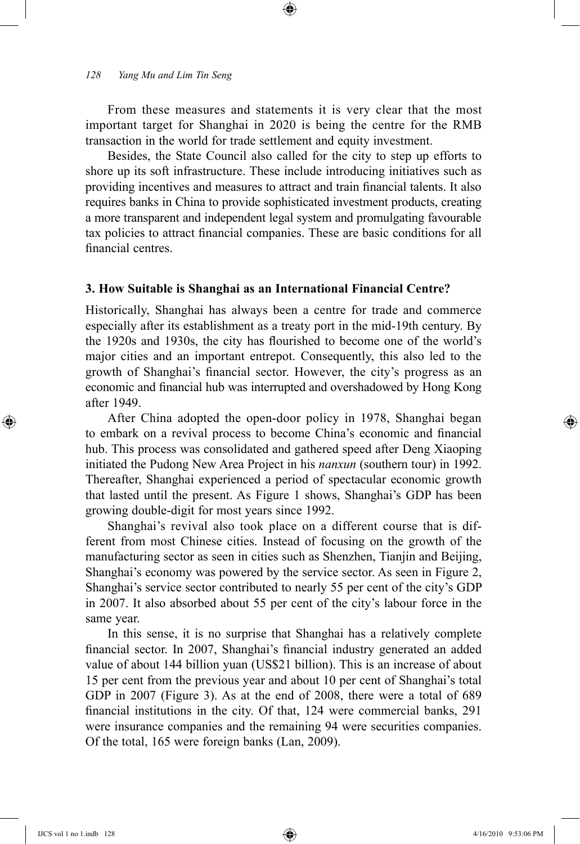From these measures and statements it is very clear that the most important target for Shanghai in 2020 is being the centre for the RMB transaction in the world for trade settlement and equity investment.

⊕

Besides, the State Council also called for the city to step up efforts to shore up its soft infrastructure. These include introducing initiatives such as providing incentives and measures to attract and train financial talents. It also requires banks in China to provide sophisticated investment products, creating a more transparent and independent legal system and promulgating favourable tax policies to attract financial companies. These are basic conditions for all financial centres.

## **3. How Suitable is Shanghai as an International Financial Centre?**

Historically, Shanghai has always been a centre for trade and commerce especially after its establishment as a treaty port in the mid-19th century. By the 1920s and 1930s, the city has flourished to become one of the world's major cities and an important entrepot. Consequently, this also led to the growth of Shanghai's financial sector. However, the city's progress as an economic and financial hub was interrupted and overshadowed by Hong Kong after 1949.

After China adopted the open-door policy in 1978, Shanghai began to embark on a revival process to become China's economic and financial hub. This process was consolidated and gathered speed after Deng Xiaoping initiated the Pudong New Area Project in his *nanxun* (southern tour) in 1992. Thereafter, Shanghai experienced a period of spectacular economic growth that lasted until the present. As Figure 1 shows, Shanghai's GDP has been growing double-digit for most years since 1992.

Shanghai's revival also took place on a different course that is different from most Chinese cities. Instead of focusing on the growth of the manufacturing sector as seen in cities such as Shenzhen, Tianjin and Beijing, Shanghai's economy was powered by the service sector. As seen in Figure 2, Shanghai's service sector contributed to nearly 55 per cent of the city's GDP in 2007. It also absorbed about 55 per cent of the city's labour force in the same year.

In this sense, it is no surprise that Shanghai has a relatively complete financial sector. In 2007, Shanghai's financial industry generated an added value of about 144 billion yuan (US\$21 billion). This is an increase of about 15 per cent from the previous year and about 10 per cent of Shanghai's total GDP in 2007 (Figure 3). As at the end of 2008, there were a total of 689 financial institutions in the city. Of that, 124 were commercial banks, 291 were insurance companies and the remaining 94 were securities companies. Of the total, 165 were foreign banks (Lan, 2009).

IJCS vol 1 no 1.indb 128 4/16/2010 9:53:06 PM

⊕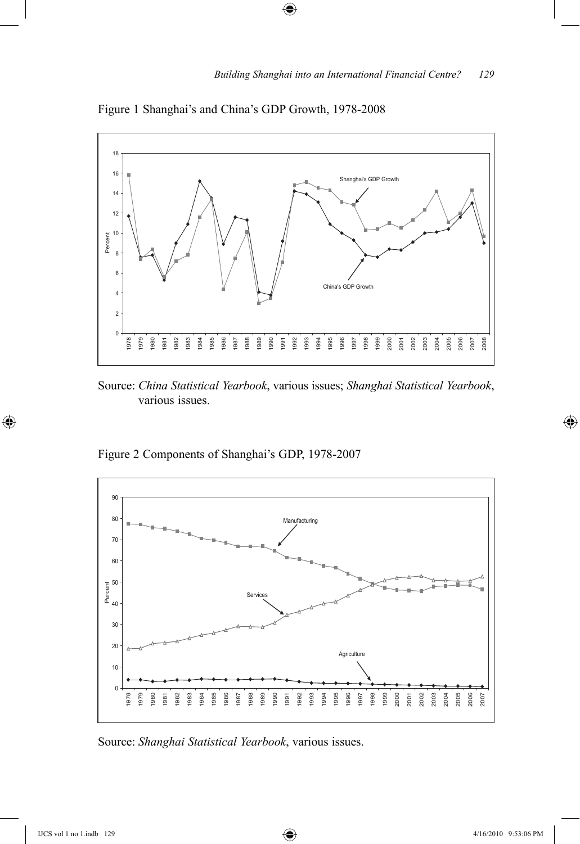

 $\bigoplus$ 

Figure 1 Shanghai's and China's GDP Growth, 1978-2008

Source: *China Statistical Yearbook*, various issues; *Shanghai Statistical Yearbook*, various issues.

Figure 2 Components of Shanghai's GDP, 1978-2007



Source: *Shanghai Statistical Yearbook*, various issues.

 $\bigoplus$ 

 $\bigoplus$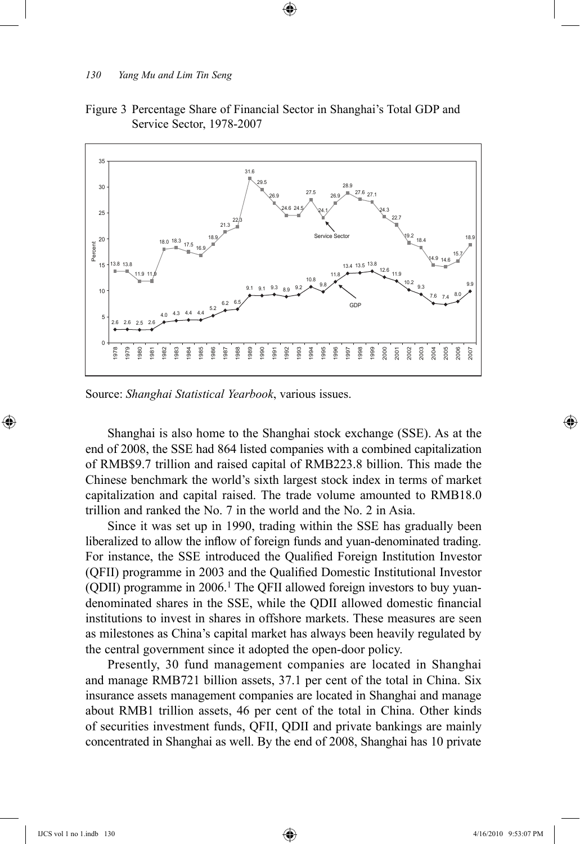

#### Figure 3 Percentage Share of Financial Sector in Shanghai's Total GDP and Service Sector, 1978-2007

⊕

Source: *Shanghai Statistical Yearbook*, various issues.

Shanghai is also home to the Shanghai stock exchange (SSE). As at the end of 2008, the SSE had 864 listed companies with a combined capitalization of RMB\$9.7 trillion and raised capital of RMB223.8 billion. This made the Chinese benchmark the world's sixth largest stock index in terms of market capitalization and capital raised. The trade volume amounted to RMB18.0 trillion and ranked the No. 7 in the world and the No. 2 in Asia.

Since it was set up in 1990, trading within the SSE has gradually been liberalized to allow the inflow of foreign funds and yuan-denominated trading. For instance, the SSE introduced the Qualified Foreign Institution Investor (QFII) programme in 2003 and the Qualified Domestic Institutional Investor (QDII) programme in  $2006$ .<sup>1</sup> The QFII allowed foreign investors to buy yuandenominated shares in the SSE, while the QDII allowed domestic financial institutions to invest in shares in offshore markets. These measures are seen as milestones as China's capital market has always been heavily regulated by the central government since it adopted the open-door policy.

Presently, 30 fund management companies are located in Shanghai and manage RMB721 billion assets, 37.1 per cent of the total in China. Six insurance assets management companies are located in Shanghai and manage about RMB1 trillion assets, 46 per cent of the total in China. Other kinds of securities investment funds, QFII, QDII and private bankings are mainly concentrated in Shanghai as well. By the end of 2008, Shanghai has 10 private

⊕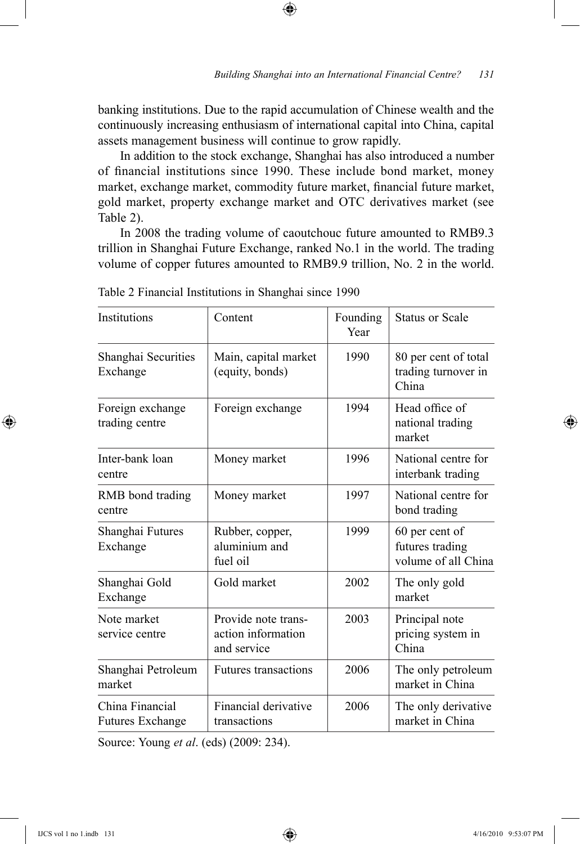banking institutions. Due to the rapid accumulation of Chinese wealth and the continuously increasing enthusiasm of international capital into China, capital assets management business will continue to grow rapidly.

 $\textcircled{\scriptsize{+}}$ 

In addition to the stock exchange, Shanghai has also introduced a number of financial institutions since 1990. These include bond market, money market, exchange market, commodity future market, financial future market, gold market, property exchange market and OTC derivatives market (see Table 2).

In 2008 the trading volume of caoutchouc future amounted to RMB9.3 trillion in Shanghai Future Exchange, ranked No.1 in the world. The trading volume of copper futures amounted to RMB9.9 trillion, No. 2 in the world.

| Institutions                               | Content                                                  | Founding<br>Year | <b>Status or Scale</b>                                   |
|--------------------------------------------|----------------------------------------------------------|------------------|----------------------------------------------------------|
| Shanghai Securities<br>Exchange            | Main, capital market<br>(equity, bonds)                  | 1990             | 80 per cent of total<br>trading turnover in<br>China     |
| Foreign exchange<br>trading centre         | Foreign exchange                                         | 1994             | Head office of<br>national trading<br>market             |
| Inter-bank loan<br>centre                  | Money market                                             | 1996             | National centre for<br>interbank trading                 |
| RMB bond trading<br>centre                 | Money market                                             | 1997             | National centre for<br>bond trading                      |
| Shanghai Futures<br>Exchange               | Rubber, copper,<br>aluminium and<br>fuel oil             | 1999             | 60 per cent of<br>futures trading<br>volume of all China |
| Shanghai Gold<br>Exchange                  | Gold market                                              | 2002             | The only gold<br>market                                  |
| Note market<br>service centre              | Provide note trans-<br>action information<br>and service | 2003             | Principal note<br>pricing system in<br>China             |
| Shanghai Petroleum<br>market               | <b>Futures transactions</b>                              | 2006             | The only petroleum<br>market in China                    |
| China Financial<br><b>Futures Exchange</b> | Financial derivative<br>transactions                     | 2006             | The only derivative<br>market in China                   |

Table 2 Financial Institutions in Shanghai since 1990

Source: Young *et al*. (eds) (2009: 234).

⊕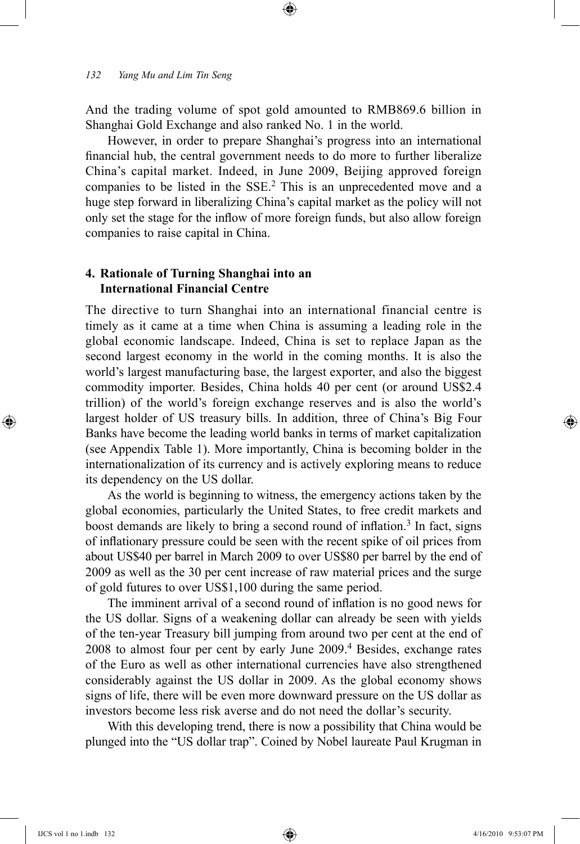And the trading volume of spot gold amounted to RMB869.6 billion in Shanghai Gold Exchange and also ranked No. 1 in the world.

⊕

However, in order to prepare Shanghai's progress into an international financial hub, the central government needs to do more to further liberalize China's capital market. Indeed, in June 2009, Beijing approved foreign companies to be listed in the SSE.2 This is an unprecedented move and a huge step forward in liberalizing China's capital market as the policy will not only set the stage for the inflow of more foreign funds, but also allow foreign companies to raise capital in China.

# **4. Rationale of Turning Shanghai into an International Financial Centre**

The directive to turn Shanghai into an international financial centre is timely as it came at a time when China is assuming a leading role in the global economic landscape. Indeed, China is set to replace Japan as the second largest economy in the world in the coming months. It is also the world's largest manufacturing base, the largest exporter, and also the biggest commodity importer. Besides, China holds 40 per cent (or around US\$2.4 trillion) of the world's foreign exchange reserves and is also the world's largest holder of US treasury bills. In addition, three of China's Big Four Banks have become the leading world banks in terms of market capitalization (see Appendix Table 1). More importantly, China is becoming bolder in the internationalization of its currency and is actively exploring means to reduce its dependency on the US dollar.

As the world is beginning to witness, the emergency actions taken by the global economies, particularly the United States, to free credit markets and boost demands are likely to bring a second round of inflation.<sup>3</sup> In fact, signs of inflationary pressure could be seen with the recent spike of oil prices from about US\$40 per barrel in March 2009 to over US\$80 per barrel by the end of 2009 as well as the 30 per cent increase of raw material prices and the surge of gold futures to over US\$1,100 during the same period.

The imminent arrival of a second round of inflation is no good news for the US dollar. Signs of a weakening dollar can already be seen with yields of the ten-year Treasury bill jumping from around two per cent at the end of 2008 to almost four per cent by early June 2009.<sup>4</sup> Besides, exchange rates of the Euro as well as other international currencies have also strengthened considerably against the US dollar in 2009. As the global economy shows signs of life, there will be even more downward pressure on the US dollar as investors become less risk averse and do not need the dollar's security.

With this developing trend, there is now a possibility that China would be plunged into the "US dollar trap". Coined by Nobel laureate Paul Krugman in

⊕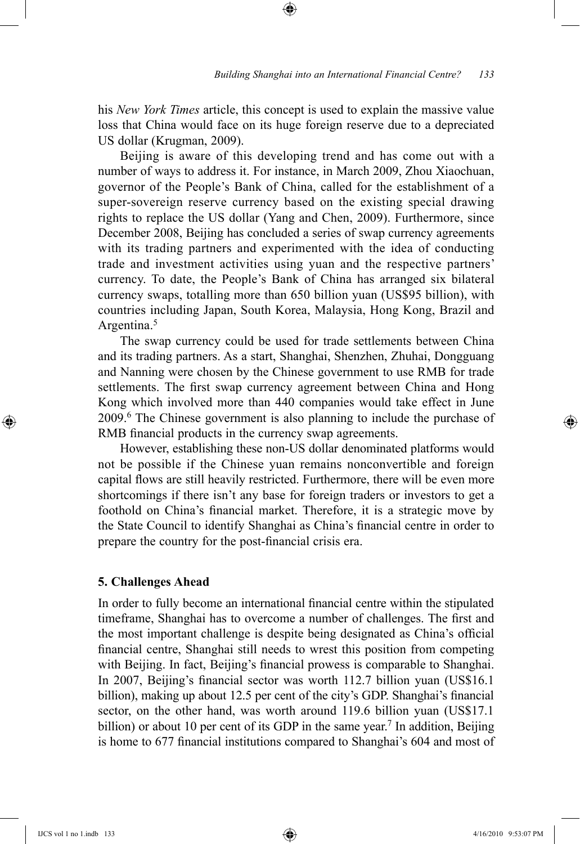his *New York Times* article, this concept is used to explain the massive value loss that China would face on its huge foreign reserve due to a depreciated US dollar (Krugman, 2009).

⊕

Beijing is aware of this developing trend and has come out with a number of ways to address it. For instance, in March 2009, Zhou Xiaochuan, governor of the People's Bank of China, called for the establishment of a super-sovereign reserve currency based on the existing special drawing rights to replace the US dollar (Yang and Chen, 2009). Furthermore, since December 2008, Beijing has concluded a series of swap currency agreements with its trading partners and experimented with the idea of conducting trade and investment activities using yuan and the respective partners' currency. To date, the People's Bank of China has arranged six bilateral currency swaps, totalling more than 650 billion yuan (US\$95 billion), with countries including Japan, South Korea, Malaysia, Hong Kong, Brazil and Argentina.<sup>5</sup>

The swap currency could be used for trade settlements between China and its trading partners. As a start, Shanghai, Shenzhen, Zhuhai, Dongguang and Nanning were chosen by the Chinese government to use RMB for trade settlements. The first swap currency agreement between China and Hong Kong which involved more than 440 companies would take effect in June 2009.6 The Chinese government is also planning to include the purchase of RMB financial products in the currency swap agreements.

However, establishing these non-US dollar denominated platforms would not be possible if the Chinese yuan remains nonconvertible and foreign capital flows are still heavily restricted. Furthermore, there will be even more shortcomings if there isn't any base for foreign traders or investors to get a foothold on China's financial market. Therefore, it is a strategic move by the State Council to identify Shanghai as China's financial centre in order to prepare the country for the post-financial crisis era.

#### **5. Challenges Ahead**

In order to fully become an international financial centre within the stipulated timeframe, Shanghai has to overcome a number of challenges. The first and the most important challenge is despite being designated as China's official financial centre, Shanghai still needs to wrest this position from competing with Beijing. In fact, Beijing's financial prowess is comparable to Shanghai. In 2007, Beijing's financial sector was worth 112.7 billion yuan (US\$16.1 billion), making up about 12.5 per cent of the city's GDP. Shanghai's financial sector, on the other hand, was worth around 119.6 billion yuan (US\$17.1 billion) or about 10 per cent of its GDP in the same year.<sup>7</sup> In addition, Beijing is home to 677 financial institutions compared to Shanghai's 604 and most of

⊕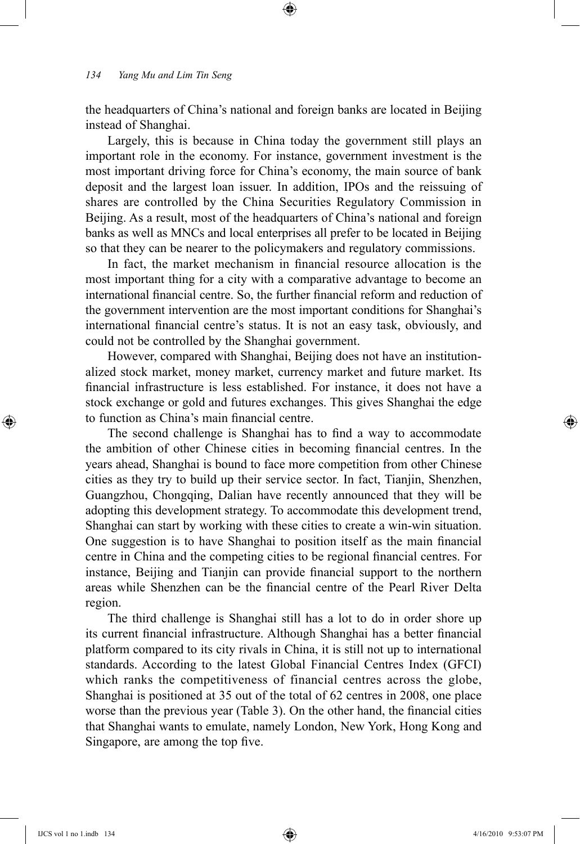the headquarters of China's national and foreign banks are located in Beijing instead of Shanghai.

⊕

Largely, this is because in China today the government still plays an important role in the economy. For instance, government investment is the most important driving force for China's economy, the main source of bank deposit and the largest loan issuer. In addition, IPOs and the reissuing of shares are controlled by the China Securities Regulatory Commission in Beijing. As a result, most of the headquarters of China's national and foreign banks as well as MNCs and local enterprises all prefer to be located in Beijing so that they can be nearer to the policymakers and regulatory commissions.

In fact, the market mechanism in financial resource allocation is the most important thing for a city with a comparative advantage to become an international financial centre. So, the further financial reform and reduction of the government intervention are the most important conditions for Shanghai's international financial centre's status. It is not an easy task, obviously, and could not be controlled by the Shanghai government.

However, compared with Shanghai, Beijing does not have an institutionalized stock market, money market, currency market and future market. Its financial infrastructure is less established. For instance, it does not have a stock exchange or gold and futures exchanges. This gives Shanghai the edge to function as China's main financial centre.

The second challenge is Shanghai has to find a way to accommodate the ambition of other Chinese cities in becoming financial centres. In the years ahead, Shanghai is bound to face more competition from other Chinese cities as they try to build up their service sector. In fact, Tianjin, Shenzhen, Guangzhou, Chongqing, Dalian have recently announced that they will be adopting this development strategy. To accommodate this development trend, Shanghai can start by working with these cities to create a win-win situation. One suggestion is to have Shanghai to position itself as the main financial centre in China and the competing cities to be regional financial centres. For instance, Beijing and Tianjin can provide financial support to the northern areas while Shenzhen can be the financial centre of the Pearl River Delta region.

The third challenge is Shanghai still has a lot to do in order shore up its current financial infrastructure. Although Shanghai has a better financial platform compared to its city rivals in China, it is still not up to international standards. According to the latest Global Financial Centres Index (GFCI) which ranks the competitiveness of financial centres across the globe, Shanghai is positioned at 35 out of the total of 62 centres in 2008, one place worse than the previous year (Table 3). On the other hand, the financial cities that Shanghai wants to emulate, namely London, New York, Hong Kong and Singapore, are among the top five.

⊕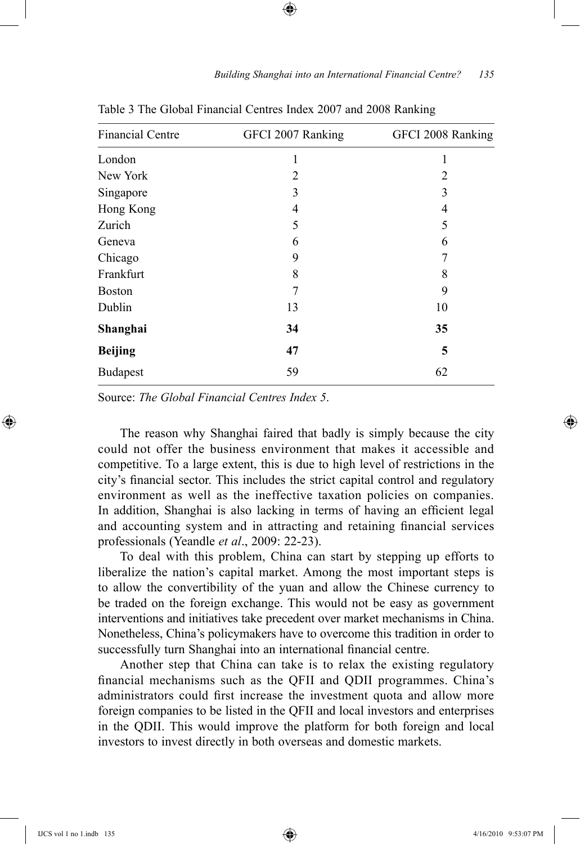|                         | THE PRODUCT THROUGH CONTROL HIGH $2007$ and $2000$ Kanking |                   |
|-------------------------|------------------------------------------------------------|-------------------|
| <b>Financial Centre</b> | GFCI 2007 Ranking                                          | GFCI 2008 Ranking |
| London                  |                                                            |                   |
| New York                | 2                                                          | 2                 |
| Singapore               | 3                                                          | 3                 |
| Hong Kong               | 4                                                          | 4                 |
| Zurich                  | 5                                                          | 5                 |
| Geneva                  | 6                                                          | 6                 |
| Chicago                 | 9                                                          | 7                 |
| Frankfurt               | 8                                                          | 8                 |
| <b>Boston</b>           |                                                            | 9                 |
| Dublin                  | 13                                                         | 10                |
| Shanghai                | 34                                                         | 35                |
| <b>Beijing</b>          | 47                                                         | 5                 |
| <b>Budapest</b>         | 59                                                         | 62                |

Table 3 The Global Financial Centres Index 2007 and 2008 Ranking

⊕

Source: *The Global Financial Centres Index 5*.

The reason why Shanghai faired that badly is simply because the city could not offer the business environment that makes it accessible and competitive. To a large extent, this is due to high level of restrictions in the city's financial sector. This includes the strict capital control and regulatory environment as well as the ineffective taxation policies on companies. In addition, Shanghai is also lacking in terms of having an efficient legal and accounting system and in attracting and retaining financial services professionals (Yeandle *et al*., 2009: 22-23).

To deal with this problem, China can start by stepping up efforts to liberalize the nation's capital market. Among the most important steps is to allow the convertibility of the yuan and allow the Chinese currency to be traded on the foreign exchange. This would not be easy as government interventions and initiatives take precedent over market mechanisms in China. Nonetheless, China's policymakers have to overcome this tradition in order to successfully turn Shanghai into an international financial centre.

Another step that China can take is to relax the existing regulatory financial mechanisms such as the QFII and QDII programmes. China's administrators could first increase the investment quota and allow more foreign companies to be listed in the QFII and local investors and enterprises in the QDII. This would improve the platform for both foreign and local investors to invest directly in both overseas and domestic markets.

⊕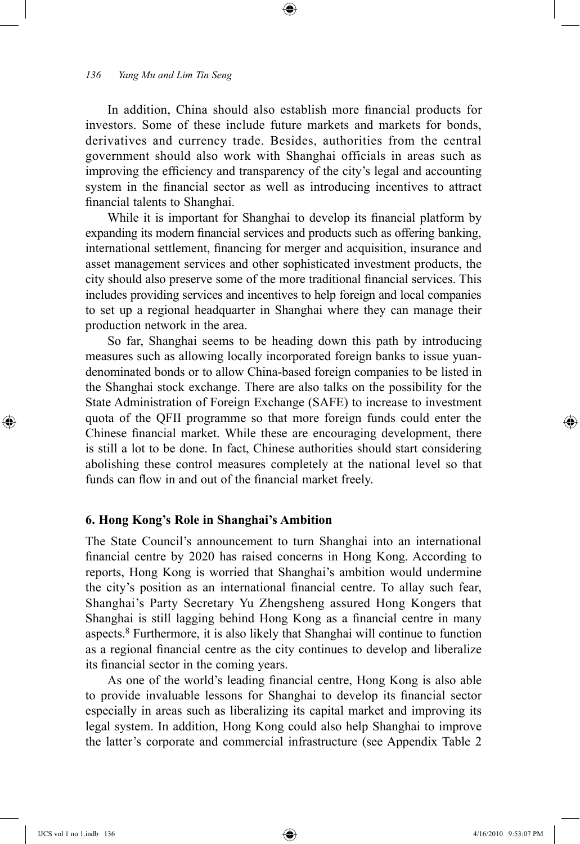In addition, China should also establish more financial products for investors. Some of these include future markets and markets for bonds, derivatives and currency trade. Besides, authorities from the central government should also work with Shanghai officials in areas such as improving the efficiency and transparency of the city's legal and accounting system in the financial sector as well as introducing incentives to attract financial talents to Shanghai.

⊕

While it is important for Shanghai to develop its financial platform by expanding its modern financial services and products such as offering banking, international settlement, financing for merger and acquisition, insurance and asset management services and other sophisticated investment products, the city should also preserve some of the more traditional financial services. This includes providing services and incentives to help foreign and local companies to set up a regional headquarter in Shanghai where they can manage their production network in the area.

So far, Shanghai seems to be heading down this path by introducing measures such as allowing locally incorporated foreign banks to issue yuandenominated bonds or to allow China-based foreign companies to be listed in the Shanghai stock exchange. There are also talks on the possibility for the State Administration of Foreign Exchange (SAFE) to increase to investment quota of the QFII programme so that more foreign funds could enter the Chinese financial market. While these are encouraging development, there is still a lot to be done. In fact, Chinese authorities should start considering abolishing these control measures completely at the national level so that funds can flow in and out of the financial market freely.

#### **6. Hong Kong's Role in Shanghai's Ambition**

The State Council's announcement to turn Shanghai into an international financial centre by 2020 has raised concerns in Hong Kong. According to reports, Hong Kong is worried that Shanghai's ambition would undermine the city's position as an international financial centre. To allay such fear, Shanghai's Party Secretary Yu Zhengsheng assured Hong Kongers that Shanghai is still lagging behind Hong Kong as a financial centre in many aspects.<sup>8</sup> Furthermore, it is also likely that Shanghai will continue to function as a regional financial centre as the city continues to develop and liberalize its financial sector in the coming years.

As one of the world's leading financial centre, Hong Kong is also able to provide invaluable lessons for Shanghai to develop its financial sector especially in areas such as liberalizing its capital market and improving its legal system. In addition, Hong Kong could also help Shanghai to improve the latter's corporate and commercial infrastructure (see Appendix Table 2

⊕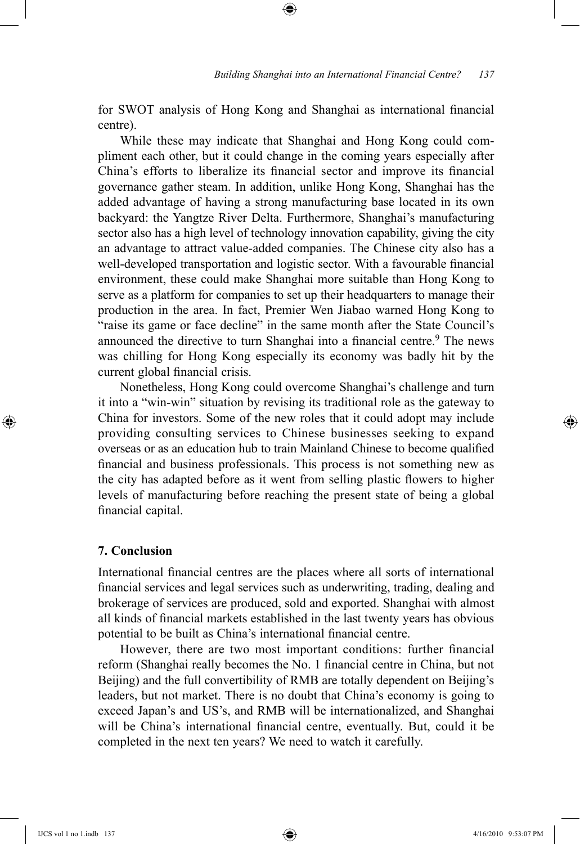for SWOT analysis of Hong Kong and Shanghai as international financial centre).

⊕

While these may indicate that Shanghai and Hong Kong could compliment each other, but it could change in the coming years especially after China's efforts to liberalize its financial sector and improve its financial governance gather steam. In addition, unlike Hong Kong, Shanghai has the added advantage of having a strong manufacturing base located in its own backyard: the Yangtze River Delta. Furthermore, Shanghai's manufacturing sector also has a high level of technology innovation capability, giving the city an advantage to attract value-added companies. The Chinese city also has a well-developed transportation and logistic sector. With a favourable financial environment, these could make Shanghai more suitable than Hong Kong to serve as a platform for companies to set up their headquarters to manage their production in the area. In fact, Premier Wen Jiabao warned Hong Kong to "raise its game or face decline" in the same month after the State Council's announced the directive to turn Shanghai into a financial centre.<sup>9</sup> The news was chilling for Hong Kong especially its economy was badly hit by the current global financial crisis.

Nonetheless, Hong Kong could overcome Shanghai's challenge and turn it into a "win-win" situation by revising its traditional role as the gateway to China for investors. Some of the new roles that it could adopt may include providing consulting services to Chinese businesses seeking to expand overseas or as an education hub to train Mainland Chinese to become qualified financial and business professionals. This process is not something new as the city has adapted before as it went from selling plastic flowers to higher levels of manufacturing before reaching the present state of being a global financial capital.

# **7. Conclusion**

International financial centres are the places where all sorts of international financial services and legal services such as underwriting, trading, dealing and brokerage of services are produced, sold and exported. Shanghai with almost all kinds of financial markets established in the last twenty years has obvious potential to be built as China's international financial centre.

However, there are two most important conditions: further financial reform (Shanghai really becomes the No. 1 financial centre in China, but not Beijing) and the full convertibility of RMB are totally dependent on Beijing's leaders, but not market. There is no doubt that China's economy is going to exceed Japan's and US's, and RMB will be internationalized, and Shanghai will be China's international financial centre, eventually. But, could it be completed in the next ten years? We need to watch it carefully.

⊕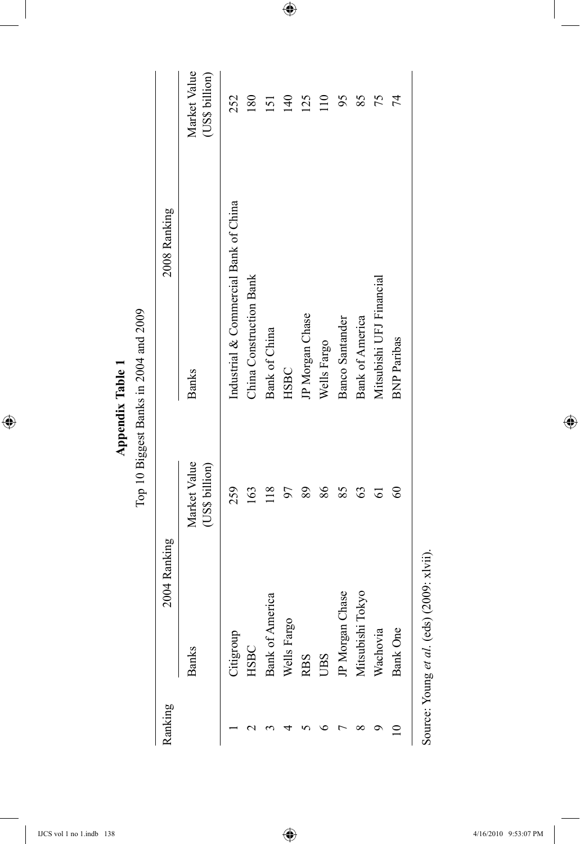$\overline{\phantom{a}}$ 

 $\bigoplus$ 

|         |                        |                                | Top 10 Biggest Banks in 2004 and 2009<br>Appendix Table 1 |                                |
|---------|------------------------|--------------------------------|-----------------------------------------------------------|--------------------------------|
| Ranking | 2004 Ranking           |                                | 2008 Ranking                                              |                                |
|         | <b>Banks</b>           | Market Value<br>(US\$ billion) | <b>Banks</b>                                              | Market Value<br>(US\$ billion) |
|         | Citigroup              | 259                            | Industrial & Commercial Bank of China                     | 252                            |
|         | HSBC                   | 163                            | China Construction Bank                                   | 180                            |
|         | <b>Bank of America</b> | $\frac{8}{18}$                 | <b>Bank of China</b>                                      | 151                            |
|         | Wells Fargo            | 57                             | HSBC                                                      | $\frac{140}{5}$                |
|         | <b>RBS</b>             | 89                             | JP Morgan Chase                                           | 25                             |
|         | UBS                    | 86                             | Wells Fargo                                               |                                |
|         | JP Morgan Chase        | 85                             | Banco Santander                                           | 95                             |
|         | Mitsubishi Tokyo       | S                              | <b>Bank of America</b>                                    | 85                             |
|         | Wachovia               | 5                              | Mitsubishi UFJ Financial                                  | 75                             |
|         | Bank One               | 3                              | <b>BNP</b> Paribas                                        | 74                             |

 $\bigoplus$ 

Source: Young et al. (eds) (2009: xlvii). Source: Young *et al*. (eds) (2009: xlvii).

 $\bigoplus$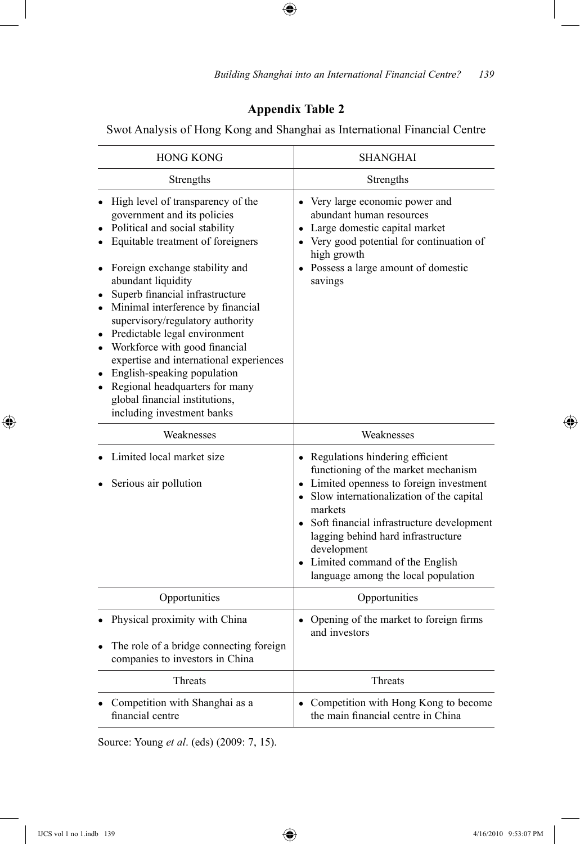# **Appendix Table 2**

 $\bigoplus$ 

Swot Analysis of Hong Kong and Shanghai as International Financial Centre

| <b>HONG KONG</b>                                                                                                                                                                                                                                                                                                                                                                                                                                                                                                                                            | <b>SHANGHAI</b>                                                                                                                                                                                                                                                                                                                                              |  |
|-------------------------------------------------------------------------------------------------------------------------------------------------------------------------------------------------------------------------------------------------------------------------------------------------------------------------------------------------------------------------------------------------------------------------------------------------------------------------------------------------------------------------------------------------------------|--------------------------------------------------------------------------------------------------------------------------------------------------------------------------------------------------------------------------------------------------------------------------------------------------------------------------------------------------------------|--|
| Strengths                                                                                                                                                                                                                                                                                                                                                                                                                                                                                                                                                   | Strengths                                                                                                                                                                                                                                                                                                                                                    |  |
| • High level of transparency of the<br>government and its policies<br>Political and social stability<br>Equitable treatment of foreigners<br>Foreign exchange stability and<br>abundant liquidity<br>Superb financial infrastructure<br>Minimal interference by financial<br>supervisory/regulatory authority<br>Predictable legal environment<br>Workforce with good financial<br>expertise and international experiences<br>English-speaking population<br>Regional headquarters for many<br>global financial institutions,<br>including investment banks | • Very large economic power and<br>abundant human resources<br>• Large domestic capital market<br>• Very good potential for continuation of<br>high growth<br>• Possess a large amount of domestic<br>savings                                                                                                                                                |  |
| Weaknesses                                                                                                                                                                                                                                                                                                                                                                                                                                                                                                                                                  | Weaknesses                                                                                                                                                                                                                                                                                                                                                   |  |
| Limited local market size<br>Serious air pollution                                                                                                                                                                                                                                                                                                                                                                                                                                                                                                          | • Regulations hindering efficient<br>functioning of the market mechanism<br>• Limited openness to foreign investment<br>• Slow internationalization of the capital<br>markets<br>• Soft financial infrastructure development<br>lagging behind hard infrastructure<br>development<br>• Limited command of the English<br>language among the local population |  |
| Opportunities                                                                                                                                                                                                                                                                                                                                                                                                                                                                                                                                               | Opportunities                                                                                                                                                                                                                                                                                                                                                |  |
| Physical proximity with China<br>The role of a bridge connecting foreign<br>companies to investors in China                                                                                                                                                                                                                                                                                                                                                                                                                                                 | Opening of the market to foreign firms<br>and investors                                                                                                                                                                                                                                                                                                      |  |
| Threats                                                                                                                                                                                                                                                                                                                                                                                                                                                                                                                                                     | Threats                                                                                                                                                                                                                                                                                                                                                      |  |
| Competition with Shanghai as a<br>financial centre                                                                                                                                                                                                                                                                                                                                                                                                                                                                                                          | Competition with Hong Kong to become<br>the main financial centre in China                                                                                                                                                                                                                                                                                   |  |

Source: Young *et al*. (eds) (2009: 7, 15).

IJCS vol 1 no 1.indb 139 4/16/2010 9:53:07 PM

 $\bigoplus$ 

 $\bigoplus$